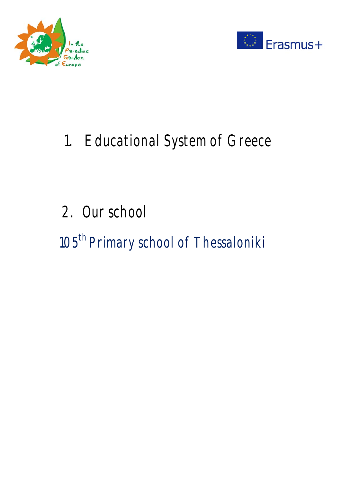



# 1. Educational System of Greece

# 2. Our school

105<sup>th</sup> Primary school of Thessaloniki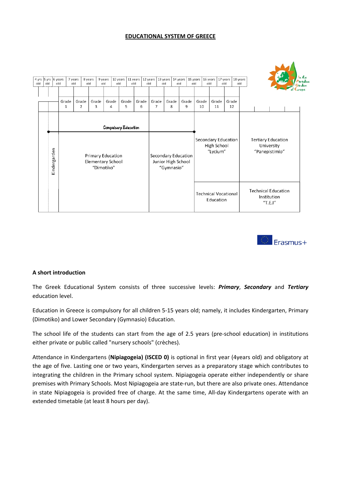#### **EDUCATIONAL SYSTEM OF GREECE**





#### **A short introduction**

The Greek Educational System consists of three successive levels: *Primary*, *Secondary* and *Tertiary* education level.

Education in Greece is compulsory for all children 5‐15 years old; namely, it includes Kindergarten, Primary (Dimotiko) and Lower Secondary (Gymnasio) Education.

The school life of the students can start from the age of 2.5 years (pre-school education) in institutions either private or public called "nursery schools" (crèches).

Attendance in Kindergartens (**Nipiagogeia) (ISCED 0)** is optional in first year (4years old) and obligatory at the age of five. Lasting one or two years, Kindergarten serves as a preparatory stage which contributes to integrating the children in the Primary school system. Nipiagogeia operate either independently or share premises with Primary Schools. Most Nipiagogeia are state-run, but there are also private ones. Attendance in state Nipiagogeia is provided free of charge. At the same time, All-day Kindergartens operate with an extended timetable (at least 8 hours per day).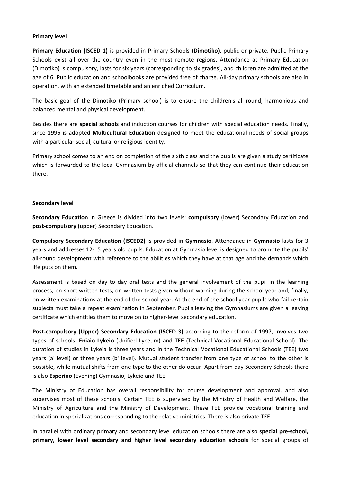#### **Primary level**

**Primary Education (ISCED 1)** is provided in Primary Schools **(Dimotiko)**, public or private. Public Primary Schools exist all over the country even in the most remote regions. Attendance at Primary Education (Dimotiko) is compulsory, lasts for six years (corresponding to six grades), and children are admitted at the age of 6. Public education and schoolbooks are provided free of charge. All-day primary schools are also in operation, with an extended timetable and an enriched Curriculum.

The basic goal of the Dimotiko (Primary school) is to ensure the children's all-round, harmonious and balanced mental and physical development.

Besides there are **special schools** and induction courses for children with special education needs. Finally, since 1996 is adopted **Multicultural Education** designed to meet the educational needs of social groups with a particular social, cultural or religious identity.

Primary school comes to an end on completion of the sixth class and the pupils are given a study certificate which is forwarded to the local Gymnasium by official channels so that they can continue their education there.

#### **Secondary level**

**Secondary Education** in Greece is divided into two levels: **compulsory** (lower) Secondary Education and **post‐compulsory** (upper) Secondary Education.

**Compulsory Secondary Education (ISCED2)** is provided in **Gymnasio**. Attendance in **Gymnasio** lasts for 3 years and addresses 12‐15 years old pupils. Education at Gymnasio level is designed to promote the pupils' all-round development with reference to the abilities which they have at that age and the demands which life puts on them.

Assessment is based on day to day oral tests and the general involvement of the pupil in the learning process, on short written tests, on written tests given without warning during the school year and, finally, on written examinations at the end of the school year. At the end of the school year pupils who fail certain subjects must take a repeat examination in September. Pupils leaving the Gymnasiums are given a leaving certificate which entitles them to move on to higher‐level secondary education.

**Post‐compulsory (Upper) Secondary Education (ISCED 3)** according to the reform of 1997, involves two types of schools: **Eniaio Lykeio** (Unified Lyceum) and **TEE** (Technical Vocational Educational School). The duration of studies in Lykeia is three years and in the Technical Vocational Educational Schools (TEE) two years (a' level) or three years (b' level). Mutual student transfer from one type of school to the other is possible, while mutual shifts from one type to the other do occur. Apart from day Secondary Schools there is also **Esperino** (Evening) Gymnasio, Lykeio and TEE.

The Ministry of Education has overall responsibility for course development and approval, and also supervises most of these schools. Certain TEE is supervised by the Ministry of Health and Welfare, the Ministry of Agriculture and the Ministry of Development. These TEE provide vocational training and education in specializations corresponding to the relative ministries. There is also private TEE.

In parallel with ordinary primary and secondary level education schools there are also **special pre‐school, primary, lower level secondary and higher level secondary education schools** for special groups of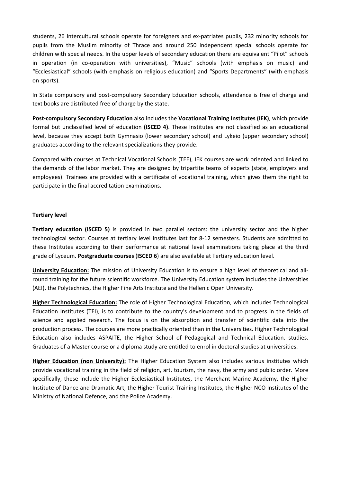students, 26 intercultural schools operate for foreigners and ex-patriates pupils, 232 minority schools for pupils from the Muslim minority of Thrace and around 250 independent special schools operate for children with special needs. In the upper levels of secondary education there are equivalent "Pilot" schools in operation (in co-operation with universities), "Music" schools (with emphasis on music) and "Ecclesiastical" schools (with emphasis on religious education) and "Sports Departments" (with emphasis on sports).

In State compulsory and post-compulsory Secondary Education schools, attendance is free of charge and text books are distributed free of charge by the state.

**Post‐compulsory Secondary Education** also includes the **Vocational Training Institutes (IEK)**, which provide formal but unclassified level of education **(ISCED 4)**. These Institutes are not classified as an educational level, because they accept both Gymnasio (lower secondary school) and Lykeio (upper secondary school) graduates according to the relevant specializations they provide.

Compared with courses at Technical Vocational Schools (TEE), IEK courses are work oriented and linked to the demands of the labor market. They are designed by tripartite teams of experts (state, employers and employees). Trainees are provided with a certificate of vocational training, which gives them the right to participate in the final accreditation examinations.

#### **Tertiary level**

**Tertiary education (ISCED 5)** is provided in two parallel sectors: the university sector and the higher technological sector. Courses at tertiary level institutes last for 8‐12 semesters. Students are admitted to these Institutes according to their performance at national level examinations taking place at the third grade of Lyceum. **Postgraduate courses** (**ISCED 6**) are also available at Tertiary education level.

**University Education:** The mission of University Education is to ensure a high level of theoretical and all‐ round training for the future scientific workforce. The University Education system includes the Universities (AEI), the Polytechnics, the Higher Fine Arts Institute and the Hellenic Open University.

**Higher Technological Education:** The role of Higher Technological Education, which includes Technological Education Institutes (TEI), is to contribute to the country's development and to progress in the fields of science and applied research. The focus is on the absorption and transfer of scientific data into the production process. The courses are more practically oriented than in the Universities. Higher Technological Education also includes ASPAITE, the Higher School of Pedagogical and Technical Education. studies. Graduates of a Master course or a diploma study are entitled to enrol in doctoral studies at universities.

**Higher Education (non University):** The Higher Education System also includes various institutes which provide vocational training in the field of religion, art, tourism, the navy, the army and public order. More specifically, these include the Higher Ecclesiastical Institutes, the Merchant Marine Academy, the Higher Institute of Dance and Dramatic Art, the Higher Tourist Training Institutes, the Ηigher NCO Institutes of the Ministry of National Defence, and the Police Academy.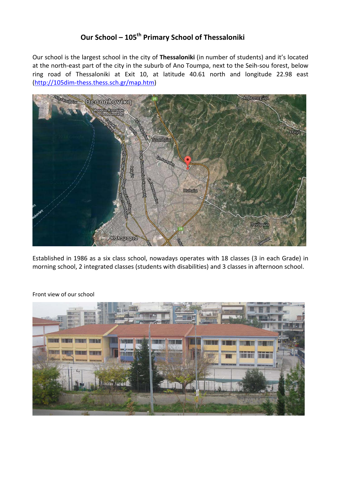# **Our School – 105th Primary School of Thessaloniki**

Our school is the largest school in the city of **Thessaloniki** (in number of students) and it's located at the north-east part of the city in the suburb of Ano Toumpa, next to the Seih-sou forest, below ring road of Thessaloniki at Exit 10, at latitude 40.61 north and longitude 22.98 east (http://105dim‐thess.thess.sch.gr/map.htm)



Established in 1986 as a six class school, nowadays operates with 18 classes (3 in each Grade) in morning school, 2 integrated classes (students with disabilities) and 3 classes in afternoon school.



Front view of our school